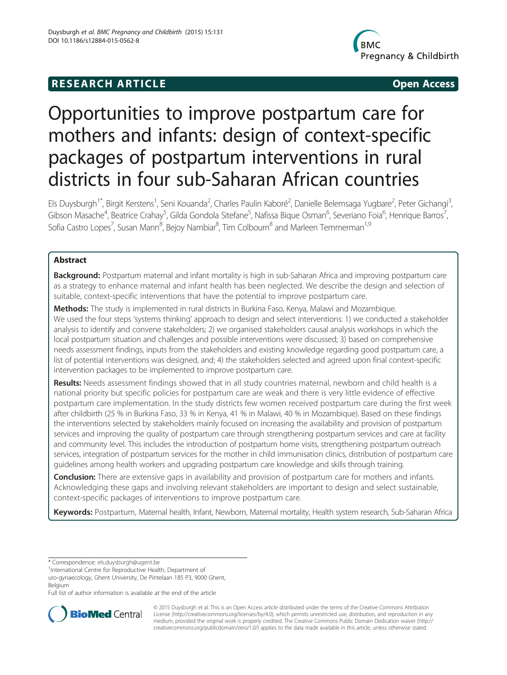# **RESEARCH ARTICLE Example 2014 12:30 The SEAR CHA RESEARCH ARTICLE**



# Opportunities to improve postpartum care for mothers and infants: design of context-specific packages of postpartum interventions in rural districts in four sub-Saharan African countries

Els Duysburgh<sup>1\*</sup>, Birgit Kerstens<sup>1</sup>, Seni Kouanda<sup>2</sup>, Charles Paulin Kaboré<sup>2</sup>, Danielle Belemsaga Yugbare<sup>2</sup>, Peter Gichangi<sup>3</sup> , Gibson Masache<sup>4</sup>, Beatrice Crahay<sup>5</sup>, Gilda Gondola Sitefane<sup>5</sup>, Nafissa Bique Osman<sup>6</sup>, Severiano Foia<sup>6</sup>, Henrique Barros<sup>7</sup> , Sofia Castro Lopes<sup>7</sup>, Susan Mann $^8$ , Bejoy Nambiar $^8$ , Tim Colbourn $^8$  and Marleen Temmerman $^{1, \mathrm{S}}$ 

# Abstract

Background: Postpartum maternal and infant mortality is high in sub-Saharan Africa and improving postpartum care as a strategy to enhance maternal and infant health has been neglected. We describe the design and selection of suitable, context-specific interventions that have the potential to improve postpartum care.

Methods: The study is implemented in rural districts in Burkina Faso, Kenya, Malawi and Mozambique. We used the four steps 'systems thinking' approach to design and select interventions: 1) we conducted a stakeholder analysis to identify and convene stakeholders; 2) we organised stakeholders causal analysis workshops in which the local postpartum situation and challenges and possible interventions were discussed; 3) based on comprehensive needs assessment findings, inputs from the stakeholders and existing knowledge regarding good postpartum care, a list of potential interventions was designed, and; 4) the stakeholders selected and agreed upon final context-specific intervention packages to be implemented to improve postpartum care.

Results: Needs assessment findings showed that in all study countries maternal, newborn and child health is a national priority but specific policies for postpartum care are weak and there is very little evidence of effective postpartum care implementation. In the study districts few women received postpartum care during the first week after childbirth (25 % in Burkina Faso, 33 % in Kenya, 41 % in Malawi, 40 % in Mozambique). Based on these findings the interventions selected by stakeholders mainly focused on increasing the availability and provision of postpartum services and improving the quality of postpartum care through strengthening postpartum services and care at facility and community level. This includes the introduction of postpartum home visits, strengthening postpartum outreach services, integration of postpartum services for the mother in child immunisation clinics, distribution of postpartum care guidelines among health workers and upgrading postpartum care knowledge and skills through training.

**Conclusion:** There are extensive gaps in availability and provision of postpartum care for mothers and infants. Acknowledging these gaps and involving relevant stakeholders are important to design and select sustainable, context-specific packages of interventions to improve postpartum care.

Keywords: Postpartum, Maternal health, Infant, Newborn, Maternal mortality, Health system research, Sub-Saharan Africa

\* Correspondence: [els.duysburgh@ugent.be](mailto:els.duysburgh@ugent.be) <sup>1</sup>

<sup>1</sup>International Centre for Reproductive Health, Department of

uro-gynaecology, Ghent University, De Pintelaan 185 P3, 9000 Ghent, Belgium

Full list of author information is available at the end of the article



© 2015 Duysburgh et al. This is an Open Access article distributed under the terms of the Creative Commons Attribution License (<http://creativecommons.org/licenses/by/4.0>), which permits unrestricted use, distribution, and reproduction in any medium, provided the original work is properly credited. The Creative Commons Public Domain Dedication waiver [\(http://](http://creativecommons.org/publicdomain/zero/1.0/) [creativecommons.org/publicdomain/zero/1.0/\)](http://creativecommons.org/publicdomain/zero/1.0/) applies to the data made available in this article, unless otherwise stated.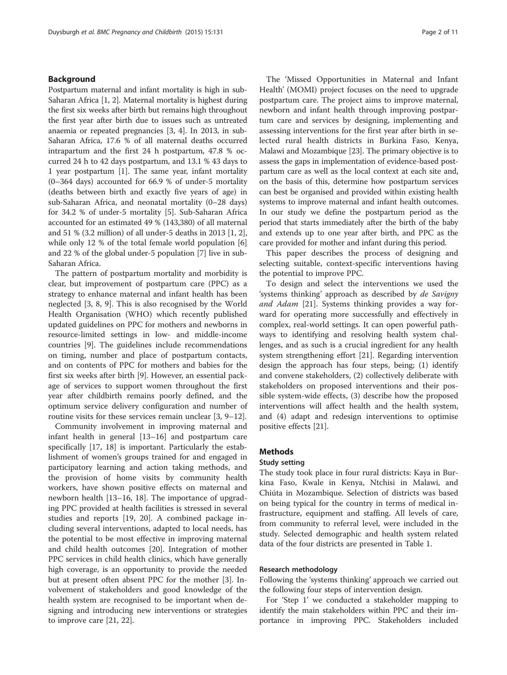#### Background

Postpartum maternal and infant mortality is high in sub-Saharan Africa [\[1, 2\]](#page-9-0). Maternal mortality is highest during the first six weeks after birth but remains high throughout the first year after birth due to issues such as untreated anaemia or repeated pregnancies [[3, 4](#page-9-0)]. In 2013, in sub-Saharan Africa, 17.6 % of all maternal deaths occurred intrapartum and the first 24 h postpartum, 47.8 % occurred 24 h to 42 days postpartum, and 13.1 % 43 days to 1 year postpartum [\[1](#page-9-0)]. The same year, infant mortality (0–364 days) accounted for 66.9 % of under-5 mortality (deaths between birth and exactly five years of age) in sub-Saharan Africa, and neonatal mortality (0–28 days) for 34.2 % of under-5 mortality [[5\]](#page-9-0). Sub-Saharan Africa accounted for an estimated 49 % (143,380) of all maternal and 51 % (3.2 million) of all under-5 deaths in 2013 [[1, 2](#page-9-0)], while only 12 % of the total female world population [[6](#page-9-0)] and 22 % of the global under-5 population [[7](#page-9-0)] live in sub-Saharan Africa.

The pattern of postpartum mortality and morbidity is clear, but improvement of postpartum care (PPC) as a strategy to enhance maternal and infant health has been neglected [\[3, 8, 9](#page-9-0)]. This is also recognised by the World Health Organisation (WHO) which recently published updated guidelines on PPC for mothers and newborns in resource-limited settings in low- and middle-income countries [\[9](#page-9-0)]. The guidelines include recommendations on timing, number and place of postpartum contacts, and on contents of PPC for mothers and babies for the first six weeks after birth [\[9](#page-9-0)]. However, an essential package of services to support women throughout the first year after childbirth remains poorly defined, and the optimum service delivery configuration and number of routine visits for these services remain unclear [[3, 9](#page-9-0)–[12\]](#page-9-0).

Community involvement in improving maternal and infant health in general [\[13](#page-9-0)–[16\]](#page-9-0) and postpartum care specifically [\[17, 18\]](#page-9-0) is important. Particularly the establishment of women's groups trained for and engaged in participatory learning and action taking methods, and the provision of home visits by community health workers, have shown positive effects on maternal and newborn health [[13](#page-9-0)–[16](#page-9-0), [18\]](#page-9-0). The importance of upgrading PPC provided at health facilities is stressed in several studies and reports [\[19](#page-9-0), [20](#page-9-0)]. A combined package including several interventions, adapted to local needs, has the potential to be most effective in improving maternal and child health outcomes [\[20](#page-9-0)]. Integration of mother PPC services in child health clinics, which have generally high coverage, is an opportunity to provide the needed but at present often absent PPC for the mother [\[3](#page-9-0)]. Involvement of stakeholders and good knowledge of the health system are recognised to be important when designing and introducing new interventions or strategies to improve care [[21](#page-9-0), [22](#page-9-0)].

The 'Missed Opportunities in Maternal and Infant Health' (MOMI) project focuses on the need to upgrade postpartum care. The project aims to improve maternal, newborn and infant health through improving postpartum care and services by designing, implementing and assessing interventions for the first year after birth in selected rural health districts in Burkina Faso, Kenya, Malawi and Mozambique [\[23\]](#page-9-0). The primary objective is to assess the gaps in implementation of evidence-based postpartum care as well as the local context at each site and, on the basis of this, determine how postpartum services can best be organised and provided within existing health systems to improve maternal and infant health outcomes. In our study we define the postpartum period as the period that starts immediately after the birth of the baby and extends up to one year after birth, and PPC as the care provided for mother and infant during this period.

This paper describes the process of designing and selecting suitable, context-specific interventions having the potential to improve PPC.

To design and select the interventions we used the 'systems thinking' approach as described by de Savigny and Adam [\[21](#page-9-0)]. Systems thinking provides a way forward for operating more successfully and effectively in complex, real-world settings. It can open powerful pathways to identifying and resolving health system challenges, and as such is a crucial ingredient for any health system strengthening effort [[21\]](#page-9-0). Regarding intervention design the approach has four steps, being; (1) identify and convene stakeholders, (2) collectively deliberate with stakeholders on proposed interventions and their possible system-wide effects, (3) describe how the proposed interventions will affect health and the health system, and (4) adapt and redesign interventions to optimise positive effects [\[21\]](#page-9-0).

# **Methods**

# Study setting

The study took place in four rural districts: Kaya in Burkina Faso, Kwale in Kenya, Ntchisi in Malawi, and Chiúta in Mozambique. Selection of districts was based on being typical for the country in terms of medical infrastructure, equipment and staffing. All levels of care, from community to referral level, were included in the study. Selected demographic and health system related data of the four districts are presented in Table [1.](#page-2-0)

#### Research methodology

Following the 'systems thinking' approach we carried out the following four steps of intervention design.

For 'Step 1' we conducted a stakeholder mapping to identify the main stakeholders within PPC and their importance in improving PPC. Stakeholders included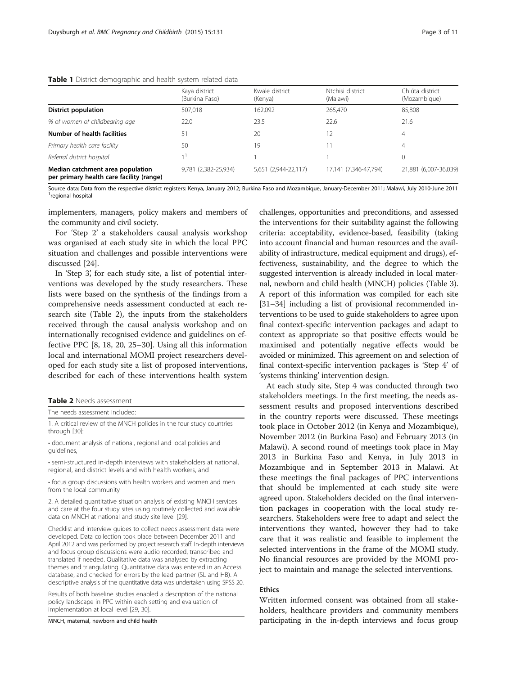#### <span id="page-2-0"></span>**Table 1** District demographic and health system related data

|                                                                              | Kaya district<br>(Burkina Faso) | Kwale district<br>(Kenya) | Ntchisi district<br>(Malawi) | Chiúta district<br>(Mozambique) |  |  |
|------------------------------------------------------------------------------|---------------------------------|---------------------------|------------------------------|---------------------------------|--|--|
| <b>District population</b>                                                   | 507,018                         | 162,092                   | 265,470                      | 85,808                          |  |  |
| % of women of childbearing age                                               | 22.0                            | 23.5                      | 22.6                         | 21.6                            |  |  |
| Number of health facilities                                                  | 51                              | 20                        | 12                           | 4                               |  |  |
| Primary health care facility                                                 | 50                              | 19                        |                              | 4                               |  |  |
| Referral district hospital                                                   |                                 |                           |                              | 0                               |  |  |
| Median catchment area population<br>per primary health care facility (range) | 9,781 (2,382-25,934)            | 5,651 (2,944-22,117)      | 17,141 (7,346-47,794)        | 21,881 (6,007-36,039)           |  |  |

Source data: Data from the respective district registers: Kenya, January 2012; Burkina Faso and Mozambique, January-December 2011; Malawi, July 2010-June 2011 <sup>1</sup> <sup>1</sup>regional hospital

implementers, managers, policy makers and members of the community and civil society.

For 'Step 2' a stakeholders causal analysis workshop was organised at each study site in which the local PPC situation and challenges and possible interventions were discussed [\[24](#page-9-0)].

In 'Step 3', for each study site, a list of potential interventions was developed by the study researchers. These lists were based on the synthesis of the findings from a comprehensive needs assessment conducted at each research site (Table 2), the inputs from the stakeholders received through the causal analysis workshop and on internationally recognised evidence and guidelines on effective PPC [\[8](#page-9-0), [18](#page-9-0), [20](#page-9-0), [25](#page-9-0)–[30](#page-10-0)]. Using all this information local and international MOMI project researchers developed for each study site a list of proposed interventions, described for each of these interventions health system

| <b>Table 2</b> Needs assessment |  |
|---------------------------------|--|
|---------------------------------|--|

The needs assessment included:

1. A critical review of the MNCH policies in the four study countries through [\[30\]](#page-10-0):

• document analysis of national, regional and local policies and guidelines,

• semi-structured in-depth interviews with stakeholders at national, regional, and district levels and with health workers, and

• focus group discussions with health workers and women and men from the local community

2. A detailed quantitative situation analysis of existing MNCH services and care at the four study sites using routinely collected and available data on MNCH at national and study site level [[29](#page-9-0)].

Checklist and interview guides to collect needs assessment data were developed. Data collection took place between December 2011 and April 2012 and was performed by project research staff. In-depth interviews and focus group discussions were audio recorded, transcribed and translated if needed. Qualitative data was analysed by extracting themes and triangulating. Quantitative data was entered in an Access database, and checked for errors by the lead partner (SL and HB). A descriptive analysis of the quantitative data was undertaken using SPSS 20.

Results of both baseline studies enabled a description of the national policy landscape in PPC within each setting and evaluation of implementation at local level [\[29](#page-9-0), [30\]](#page-10-0).

MNCH, maternal, newborn and child health

challenges, opportunities and preconditions, and assessed the interventions for their suitability against the following criteria: acceptability, evidence-based, feasibility (taking into account financial and human resources and the availability of infrastructure, medical equipment and drugs), effectiveness, sustainability, and the degree to which the suggested intervention is already included in local maternal, newborn and child health (MNCH) policies (Table [3](#page-3-0)). A report of this information was compiled for each site [[31](#page-10-0)–[34\]](#page-10-0) including a list of provisional recommended interventions to be used to guide stakeholders to agree upon final context-specific intervention packages and adapt to context as appropriate so that positive effects would be maximised and potentially negative effects would be avoided or minimized. This agreement on and selection of final context-specific intervention packages is 'Step 4' of 'systems thinking' intervention design.

At each study site, Step 4 was conducted through two stakeholders meetings. In the first meeting, the needs assessment results and proposed interventions described in the country reports were discussed. These meetings took place in October 2012 (in Kenya and Mozambique), November 2012 (in Burkina Faso) and February 2013 (in Malawi). A second round of meetings took place in May 2013 in Burkina Faso and Kenya, in July 2013 in Mozambique and in September 2013 in Malawi. At these meetings the final packages of PPC interventions that should be implemented at each study site were agreed upon. Stakeholders decided on the final intervention packages in cooperation with the local study researchers. Stakeholders were free to adapt and select the interventions they wanted, however they had to take care that it was realistic and feasible to implement the selected interventions in the frame of the MOMI study. No financial resources are provided by the MOMI project to maintain and manage the selected interventions.

#### **Ethics**

Written informed consent was obtained from all stakeholders, healthcare providers and community members participating in the in-depth interviews and focus group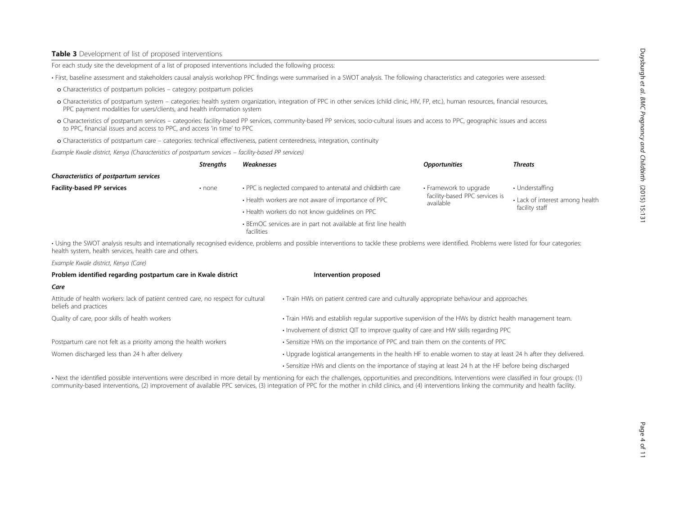### <span id="page-3-0"></span>Table 3 Development of list of proposed interventions

For each study site the development of a list of proposed interventions included the following process:

• First, baseline assessment and stakeholders causal analysis workshop PPC findings were summarised in a SWOT analysis. The following characteristics and categories were assessed:

- o Characteristics of postpartum policies category: postpartum policies
- o Characteristics of postpartum system categories: health system organization, integration of PPC in other services (child clinic, HIV, FP, etc.), human resources, financial resources, PPC payment modalities for users/clients, and health information system
- o Characteristics of postpartum services categories: facility-based PP services, community-based PP services, socio-cultural issues and access to PPC, geographic issues and access to PPC, financial issues and access to PPC, and access 'in time' to PPC
- o Characteristics of postpartum care categories: technical effectiveness, patient centeredness, integration, continuity

Example Kwale district, Kenya (Characteristics of postpartum services – facility-based PP services)

|                                        | <b>Strengths</b> | Weaknesses                                                                    | <b>Opportunities</b>                        | <b>Threats</b>                  |
|----------------------------------------|------------------|-------------------------------------------------------------------------------|---------------------------------------------|---------------------------------|
| Characteristics of postpartum services |                  |                                                                               |                                             |                                 |
| <b>Facility-based PP services</b>      | $\cdot$ none     | • PPC is neglected compared to antenatal and childbirth care                  | • Framework to upgrade                      | • Understaffing                 |
|                                        |                  | • Health workers are not aware of importance of PPC                           | facility-based PPC services is<br>available | • Lack of interest among health |
|                                        |                  | • Health workers do not know quidelines on PPC                                |                                             | facility staff                  |
|                                        |                  | • BEmOC services are in part not available at first line health<br>facilities |                                             |                                 |

• Using the SWOT analysis results and internationally recognised evidence, problems and possible interventions to tackle these problems were identified. Problems were listed for four categories: health system, health services, health care and others.

Example Kwale district, Kenya (Care)

| Problem identified regarding postpartum care in Kwale district                                             | Intervention proposed                                                                                          |  |  |  |  |
|------------------------------------------------------------------------------------------------------------|----------------------------------------------------------------------------------------------------------------|--|--|--|--|
| Care                                                                                                       |                                                                                                                |  |  |  |  |
| Attitude of health workers: lack of patient centred care, no respect for cultural<br>beliefs and practices | • Train HWs on patient centred care and culturally appropriate behaviour and approaches                        |  |  |  |  |
| Quality of care, poor skills of health workers                                                             | . Train HWs and establish regular supportive supervision of the HWs by district health management team.        |  |  |  |  |
|                                                                                                            | . Involvement of district QIT to improve quality of care and HW skills regarding PPC                           |  |  |  |  |
| Postpartum care not felt as a priority among the health workers                                            | • Sensitize HWs on the importance of PPC and train them on the contents of PPC                                 |  |  |  |  |
| Women discharged less than 24 h after delivery                                                             | • Upgrade logistical arrangements in the health HF to enable women to stay at least 24 h after they delivered. |  |  |  |  |
|                                                                                                            | • Sensitize HWs and clients on the importance of staying at least 24 h at the HF before being discharged       |  |  |  |  |

• Next the identified possible interventions were described in more detail by mentioning for each the challenges, opportunities and preconditions. Interventions were classified in four groups: (1) community-based interventions, (2) improvement of available PPC services, (3) integration of PPC for the mother in child clinics, and (4) interventions linking the community and health facility.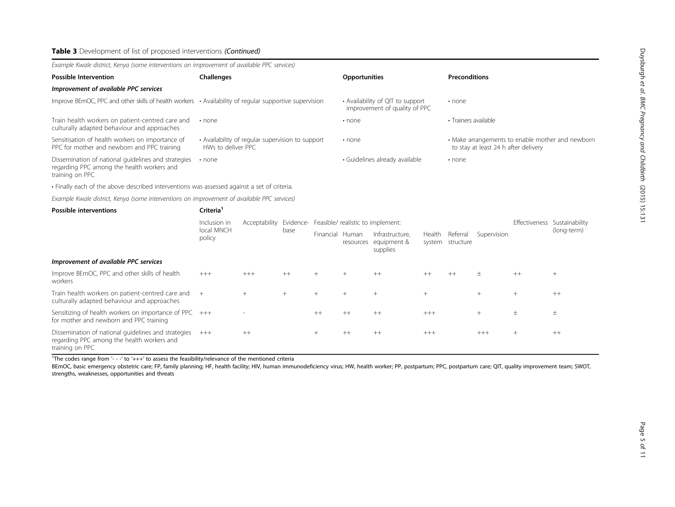| Example Kwale district, Kenya (some interventions on improvement of available PPC services)                          |                                                                        |                                                                   |                                                                                          |
|----------------------------------------------------------------------------------------------------------------------|------------------------------------------------------------------------|-------------------------------------------------------------------|------------------------------------------------------------------------------------------|
| <b>Possible Intervention</b>                                                                                         | <b>Challenges</b>                                                      | <b>Opportunities</b>                                              | <b>Preconditions</b>                                                                     |
| Improvement of available PPC services                                                                                |                                                                        |                                                                   |                                                                                          |
| Improve BEmOC, PPC and other skills of health workers $\cdot$ Availability of regular supportive supervision         |                                                                        | • Availability of QIT to support<br>improvement of quality of PPC | $\cdot$ none                                                                             |
| Train health workers on patient-centred care and<br>culturally adapted behaviour and approaches                      | $\cdot$ none                                                           | $\cdot$ none                                                      | • Trainers available                                                                     |
| Sensitisation of health workers on importance of<br>PPC for mother and newborn and PPC training                      | • Availability of regular supervision to support<br>HWs to deliver PPC | $\cdot$ none                                                      | • Make arrangements to enable mother and newborn<br>to stay at least 24 h after delivery |
| Dissemination of national guidelines and strategies<br>regarding PPC among the health workers and<br>training on PPC | $\cdot$ none                                                           | · Guidelines already available                                    | $\cdot$ none                                                                             |

• Finally each of the above described interventions was assessed against a set of criteria.

Example Kwale district, Kenya (some interventions on improvement of available PPC services)

| <b>Possible interventions</b>                                                                                        | Criteria <sup>1</sup>                |                          |        |                                                           |           |                                            |                  |                       |               |                |             |
|----------------------------------------------------------------------------------------------------------------------|--------------------------------------|--------------------------|--------|-----------------------------------------------------------|-----------|--------------------------------------------|------------------|-----------------------|---------------|----------------|-------------|
|                                                                                                                      | Inclusion in<br>local MNCH<br>policy |                          | base   | Acceptability Evidence- Feasible/ realistic to implement: |           |                                            |                  |                       | Effectiveness | Sustainability |             |
|                                                                                                                      |                                      |                          |        | Financial Human                                           | resources | Infrastructure.<br>equipment &<br>supplies | Health<br>system | Referral<br>structure | Supervision   |                | (long-term) |
| Improvement of available PPC services                                                                                |                                      |                          |        |                                                           |           |                                            |                  |                       |               |                |             |
| Improve BEmOC, PPC and other skills of health<br>workers                                                             | $+++$                                | $+++$                    | $++$   | $^{+}$                                                    | $^{+}$    | $++$                                       | $++$             | $^{++}$               |               | $++$           | $^{+}$      |
| Train health workers on patient-centred care and<br>culturally adapted behaviour and approaches                      | $+$                                  | $^{+}$                   | $^{+}$ | $^{+}$                                                    | $^{+}$    | $^{+}$                                     | $^{+}$           |                       | $^{+}$        | $^{+}$         | $++$        |
| Sensitizing of health workers on importance of PPC $+++$<br>for mother and newborn and PPC training                  |                                      | $\overline{\phantom{a}}$ |        | $++$                                                      | $++$      | $++$                                       | $+++$            |                       | $^{+}$        | 土              | $\pm$       |
| Dissemination of national quidelines and strategies<br>regarding PPC among the health workers and<br>training on PPC | $+++$                                | $++$                     |        | $^{+}$                                                    | $++$      | $++$                                       | $+++$            |                       | $+++$         | $^{+}$         | $++$        |

<sup>1</sup>The codes range from  $4 - 1$  to  $4 + 1$  to assess the feasibility/relevance of the mentioned criteria

BEmOC, basic emergency obstetric care; FP, family planning; HF, health facility; HIV, human immunodeficiency virus; HW, health worker; PP, postpartum; PPC, postpartum care; QIT, quality improvement team; SWOT, strengths, weaknesses, opportunities and threats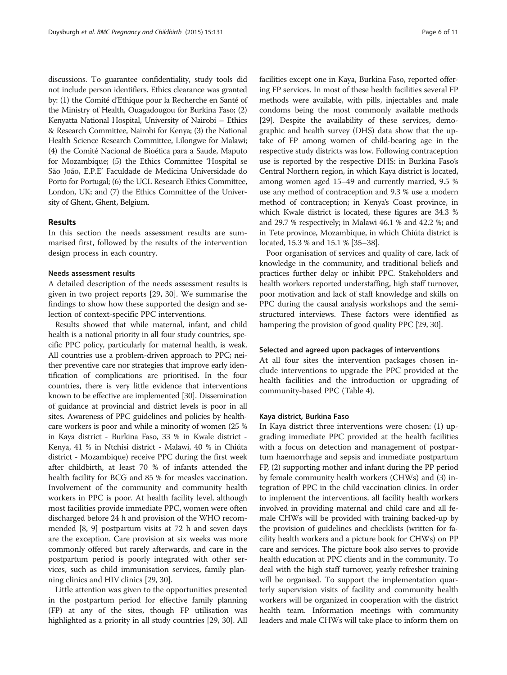discussions. To guarantee confidentiality, study tools did not include person identifiers. Ethics clearance was granted by: (1) the Comité d'Ethique pour la Recherche en Santé of the Ministry of Health, Ouagadougou for Burkina Faso; (2) Kenyatta National Hospital, University of Nairobi – Ethics & Research Committee, Nairobi for Kenya; (3) the National Health Science Research Committee, Lilongwe for Malawi; (4) the Comité Nacional de Bioética para a Saude, Maputo for Mozambique; (5) the Ethics Committee 'Hospital se São João, E.P.E' Faculdade de Medicina Universidade do Porto for Portugal; (6) the UCL Research Ethics Committee, London, UK; and (7) the Ethics Committee of the University of Ghent, Ghent, Belgium.

#### Results

In this section the needs assessment results are summarised first, followed by the results of the intervention design process in each country.

# Needs assessment results

A detailed description of the needs assessment results is given in two project reports [[29,](#page-9-0) [30\]](#page-10-0). We summarise the findings to show how these supported the design and selection of context-specific PPC interventions.

Results showed that while maternal, infant, and child health is a national priority in all four study countries, specific PPC policy, particularly for maternal health, is weak. All countries use a problem-driven approach to PPC; neither preventive care nor strategies that improve early identification of complications are prioritised. In the four countries, there is very little evidence that interventions known to be effective are implemented [[30](#page-10-0)]. Dissemination of guidance at provincial and district levels is poor in all sites. Awareness of PPC guidelines and policies by healthcare workers is poor and while a minority of women (25 % in Kaya district - Burkina Faso, 33 % in Kwale district - Kenya, 41 % in Ntchisi district - Malawi, 40 % in Chiúta district - Mozambique) receive PPC during the first week after childbirth, at least 70 % of infants attended the health facility for BCG and 85 % for measles vaccination. Involvement of the community and community health workers in PPC is poor. At health facility level, although most facilities provide immediate PPC, women were often discharged before 24 h and provision of the WHO recommended [\[8](#page-9-0), [9](#page-9-0)] postpartum visits at 72 h and seven days are the exception. Care provision at six weeks was more commonly offered but rarely afterwards, and care in the postpartum period is poorly integrated with other services, such as child immunisation services, family planning clinics and HIV clinics [\[29,](#page-9-0) [30](#page-10-0)].

Little attention was given to the opportunities presented in the postpartum period for effective family planning (FP) at any of the sites, though FP utilisation was highlighted as a priority in all study countries [\[29,](#page-9-0) [30\]](#page-10-0). All facilities except one in Kaya, Burkina Faso, reported offering FP services. In most of these health facilities several FP methods were available, with pills, injectables and male condoms being the most commonly available methods [[29](#page-9-0)]. Despite the availability of these services, demographic and health survey (DHS) data show that the uptake of FP among women of child-bearing age in the respective study districts was low. Following contraception use is reported by the respective DHS: in Burkina Faso's Central Northern region, in which Kaya district is located, among women aged 15–49 and currently married, 9.5 % use any method of contraception and 9.3 % use a modern method of contraception; in Kenya's Coast province, in which Kwale district is located, these figures are 34.3 % and 29.7 % respectively; in Malawi 46.1 % and 42.2 %; and in Tete province, Mozambique, in which Chiúta district is located, 15.3 % and 15.1 % [[35](#page-10-0)–[38\]](#page-10-0).

Poor organisation of services and quality of care, lack of knowledge in the community, and traditional beliefs and practices further delay or inhibit PPC. Stakeholders and health workers reported understaffing, high staff turnover, poor motivation and lack of staff knowledge and skills on PPC during the causal analysis workshops and the semistructured interviews. These factors were identified as hampering the provision of good quality PPC [\[29,](#page-9-0) [30](#page-10-0)].

#### Selected and agreed upon packages of interventions

At all four sites the intervention packages chosen include interventions to upgrade the PPC provided at the health facilities and the introduction or upgrading of community-based PPC (Table [4\)](#page-6-0).

## Kaya district, Burkina Faso

In Kaya district three interventions were chosen: (1) upgrading immediate PPC provided at the health facilities with a focus on detection and management of postpartum haemorrhage and sepsis and immediate postpartum FP, (2) supporting mother and infant during the PP period by female community health workers (CHWs) and (3) integration of PPC in the child vaccination clinics. In order to implement the interventions, all facility health workers involved in providing maternal and child care and all female CHWs will be provided with training backed-up by the provision of guidelines and checklists (written for facility health workers and a picture book for CHWs) on PP care and services. The picture book also serves to provide health education at PPC clients and in the community. To deal with the high staff turnover, yearly refresher training will be organised. To support the implementation quarterly supervision visits of facility and community health workers will be organized in cooperation with the district health team. Information meetings with community leaders and male CHWs will take place to inform them on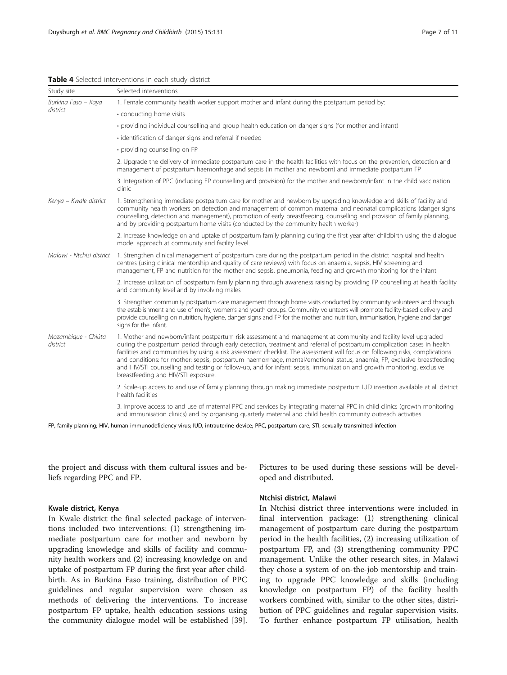| Study site                      | Selected interventions                                                                                                                                                                                                                                                                                                                                                                                                                                                                                                                                                                                                                                                    |  |  |  |  |  |  |
|---------------------------------|---------------------------------------------------------------------------------------------------------------------------------------------------------------------------------------------------------------------------------------------------------------------------------------------------------------------------------------------------------------------------------------------------------------------------------------------------------------------------------------------------------------------------------------------------------------------------------------------------------------------------------------------------------------------------|--|--|--|--|--|--|
| Burkina Faso - Kaya             | 1. Female community health worker support mother and infant during the postpartum period by:                                                                                                                                                                                                                                                                                                                                                                                                                                                                                                                                                                              |  |  |  |  |  |  |
| district                        | • conducting home visits                                                                                                                                                                                                                                                                                                                                                                                                                                                                                                                                                                                                                                                  |  |  |  |  |  |  |
|                                 | · providing individual counselling and group health education on danger signs (for mother and infant)                                                                                                                                                                                                                                                                                                                                                                                                                                                                                                                                                                     |  |  |  |  |  |  |
|                                 | · identification of danger signs and referral if needed                                                                                                                                                                                                                                                                                                                                                                                                                                                                                                                                                                                                                   |  |  |  |  |  |  |
|                                 | · providing counselling on FP                                                                                                                                                                                                                                                                                                                                                                                                                                                                                                                                                                                                                                             |  |  |  |  |  |  |
|                                 | 2. Upgrade the delivery of immediate postpartum care in the health facilities with focus on the prevention, detection and<br>management of postpartum haemorrhage and sepsis (in mother and newborn) and immediate postpartum FP                                                                                                                                                                                                                                                                                                                                                                                                                                          |  |  |  |  |  |  |
|                                 | 3. Integration of PPC (including FP counselling and provision) for the mother and newborn/infant in the child vaccination<br>clinic                                                                                                                                                                                                                                                                                                                                                                                                                                                                                                                                       |  |  |  |  |  |  |
| Kenya - Kwale district          | 1. Strengthening immediate postpartum care for mother and newborn by upgrading knowledge and skills of facility and<br>community health workers on detection and management of common maternal and neonatal complications (danger signs<br>counselling, detection and management), promotion of early breastfeeding, counselling and provision of family planning,<br>and by providing postpartum home visits (conducted by the community health worker)                                                                                                                                                                                                                  |  |  |  |  |  |  |
|                                 | 2. Increase knowledge on and uptake of postpartum family planning during the first year after childbirth using the dialogue<br>model approach at community and facility level.                                                                                                                                                                                                                                                                                                                                                                                                                                                                                            |  |  |  |  |  |  |
| Malawi - Ntchisi district       | 1. Strengthen clinical management of postpartum care during the postpartum period in the district hospital and health<br>centres (using clinical mentorship and quality of care reviews) with focus on anaemia, sepsis, HIV screening and<br>management, FP and nutrition for the mother and sepsis, pneumonia, feeding and growth monitoring for the infant                                                                                                                                                                                                                                                                                                              |  |  |  |  |  |  |
|                                 | 2. Increase utilization of postpartum family planning through awareness raising by providing FP counselling at health facility<br>and community level and by involving males                                                                                                                                                                                                                                                                                                                                                                                                                                                                                              |  |  |  |  |  |  |
|                                 | 3. Strengthen community postpartum care management through home visits conducted by community volunteers and through<br>the establishment and use of men's, women's and youth groups. Community volunteers will promote facility-based delivery and<br>provide counselling on nutrition, hygiene, danger signs and FP for the mother and nutrition, immunisation, hygiene and danger<br>signs for the infant.                                                                                                                                                                                                                                                             |  |  |  |  |  |  |
| Mozambique - Chiúta<br>district | 1. Mother and newborn/infant postpartum risk assessment and management at community and facility level upgraded<br>during the postpartum period through early detection, treatment and referral of postpartum complication cases in health<br>facilities and communities by using a risk assessment checklist. The assessment will focus on following risks, complications<br>and conditions: for mother: sepsis, postpartum haemorrhage, mental/emotional status, anaemia, FP, exclusive breastfeeding<br>and HIV/STI counselling and testing or follow-up, and for infant: sepsis, immunization and growth monitoring, exclusive<br>breastfeeding and HIV/STI exposure. |  |  |  |  |  |  |
|                                 | 2. Scale-up access to and use of family planning through making immediate postpartum IUD insertion available at all district<br>health facilities                                                                                                                                                                                                                                                                                                                                                                                                                                                                                                                         |  |  |  |  |  |  |
|                                 | 3. Improve access to and use of maternal PPC and services by integrating maternal PPC in child clinics (growth monitoring<br>and immunisation clinics) and by organising quarterly maternal and child health community outreach activities                                                                                                                                                                                                                                                                                                                                                                                                                                |  |  |  |  |  |  |

<span id="page-6-0"></span>Table 4 Selected interventions in each study district

FP, family planning; HIV, human immunodeficiency virus; IUD, intrauterine device; PPC, postpartum care; STI, sexually transmitted infection

the project and discuss with them cultural issues and beliefs regarding PPC and FP.

#### Kwale district, Kenya

In Kwale district the final selected package of interventions included two interventions: (1) strengthening immediate postpartum care for mother and newborn by upgrading knowledge and skills of facility and community health workers and (2) increasing knowledge on and uptake of postpartum FP during the first year after childbirth. As in Burkina Faso training, distribution of PPC guidelines and regular supervision were chosen as methods of delivering the interventions. To increase postpartum FP uptake, health education sessions using the community dialogue model will be established [\[39](#page-10-0)].

Pictures to be used during these sessions will be developed and distributed.

# Ntchisi district, Malawi

In Ntchisi district three interventions were included in final intervention package: (1) strengthening clinical management of postpartum care during the postpartum period in the health facilities, (2) increasing utilization of postpartum FP, and (3) strengthening community PPC management. Unlike the other research sites, in Malawi they chose a system of on-the-job mentorship and training to upgrade PPC knowledge and skills (including knowledge on postpartum FP) of the facility health workers combined with, similar to the other sites, distribution of PPC guidelines and regular supervision visits. To further enhance postpartum FP utilisation, health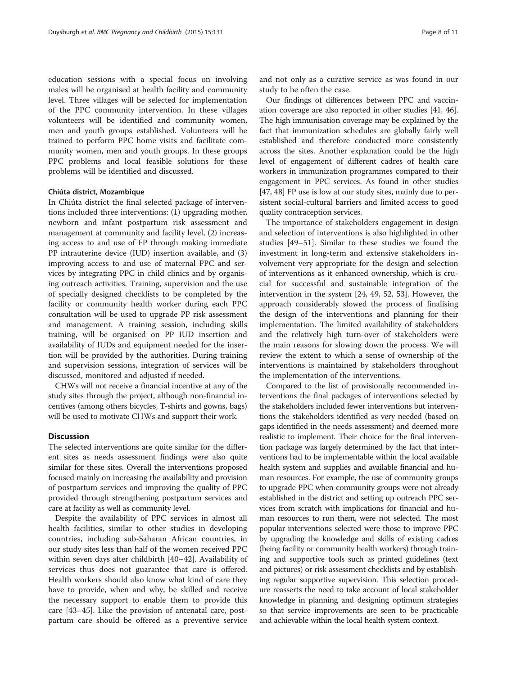education sessions with a special focus on involving males will be organised at health facility and community level. Three villages will be selected for implementation of the PPC community intervention. In these villages volunteers will be identified and community women, men and youth groups established. Volunteers will be trained to perform PPC home visits and facilitate community women, men and youth groups. In these groups PPC problems and local feasible solutions for these problems will be identified and discussed.

#### Chiúta district, Mozambique

In Chiúta district the final selected package of interventions included three interventions: (1) upgrading mother, newborn and infant postpartum risk assessment and management at community and facility level, (2) increasing access to and use of FP through making immediate PP intrauterine device (IUD) insertion available, and (3) improving access to and use of maternal PPC and services by integrating PPC in child clinics and by organising outreach activities. Training, supervision and the use of specially designed checklists to be completed by the facility or community health worker during each PPC consultation will be used to upgrade PP risk assessment and management. A training session, including skills training, will be organised on PP IUD insertion and availability of IUDs and equipment needed for the insertion will be provided by the authorities. During training and supervision sessions, integration of services will be discussed, monitored and adjusted if needed.

CHWs will not receive a financial incentive at any of the study sites through the project, although non-financial incentives (among others bicycles, T-shirts and gowns, bags) will be used to motivate CHWs and support their work.

# **Discussion**

The selected interventions are quite similar for the different sites as needs assessment findings were also quite similar for these sites. Overall the interventions proposed focused mainly on increasing the availability and provision of postpartum services and improving the quality of PPC provided through strengthening postpartum services and care at facility as well as community level.

Despite the availability of PPC services in almost all health facilities, similar to other studies in developing countries, including sub-Saharan African countries, in our study sites less than half of the women received PPC within seven days after childbirth [\[40](#page-10-0)–[42\]](#page-10-0). Availability of services thus does not guarantee that care is offered. Health workers should also know what kind of care they have to provide, when and why, be skilled and receive the necessary support to enable them to provide this care [\[43](#page-10-0)–[45](#page-10-0)]. Like the provision of antenatal care, postpartum care should be offered as a preventive service

and not only as a curative service as was found in our study to be often the case.

Our findings of differences between PPC and vaccination coverage are also reported in other studies [[41](#page-10-0), [46](#page-10-0)]. The high immunisation coverage may be explained by the fact that immunization schedules are globally fairly well established and therefore conducted more consistently across the sites. Another explanation could be the high level of engagement of different cadres of health care workers in immunization programmes compared to their engagement in PPC services. As found in other studies [[47](#page-10-0), [48\]](#page-10-0) FP use is low at our study sites, mainly due to persistent social-cultural barriers and limited access to good quality contraception services.

The importance of stakeholders engagement in design and selection of interventions is also highlighted in other studies [[49](#page-10-0)–[51](#page-10-0)]. Similar to these studies we found the investment in long-term and extensive stakeholders involvement very appropriate for the design and selection of interventions as it enhanced ownership, which is crucial for successful and sustainable integration of the intervention in the system [[24,](#page-9-0) [49](#page-10-0), [52](#page-10-0), [53\]](#page-10-0). However, the approach considerably slowed the process of finalising the design of the interventions and planning for their implementation. The limited availability of stakeholders and the relatively high turn-over of stakeholders were the main reasons for slowing down the process. We will review the extent to which a sense of ownership of the interventions is maintained by stakeholders throughout the implementation of the interventions.

Compared to the list of provisionally recommended interventions the final packages of interventions selected by the stakeholders included fewer interventions but interventions the stakeholders identified as very needed (based on gaps identified in the needs assessment) and deemed more realistic to implement. Their choice for the final intervention package was largely determined by the fact that interventions had to be implementable within the local available health system and supplies and available financial and human resources. For example, the use of community groups to upgrade PPC when community groups were not already established in the district and setting up outreach PPC services from scratch with implications for financial and human resources to run them, were not selected. The most popular interventions selected were those to improve PPC by upgrading the knowledge and skills of existing cadres (being facility or community health workers) through training and supportive tools such as printed guidelines (text and pictures) or risk assessment checklists and by establishing regular supportive supervision. This selection procedure reasserts the need to take account of local stakeholder knowledge in planning and designing optimum strategies so that service improvements are seen to be practicable and achievable within the local health system context.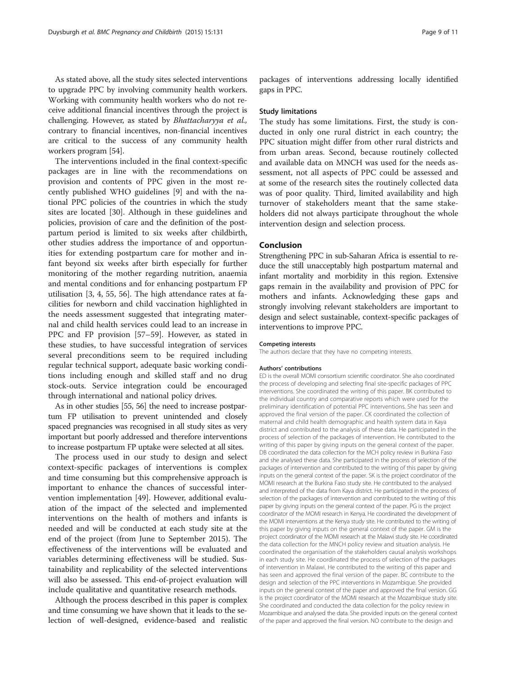As stated above, all the study sites selected interventions to upgrade PPC by involving community health workers. Working with community health workers who do not receive additional financial incentives through the project is challenging. However, as stated by Bhattacharyya et al., contrary to financial incentives, non-financial incentives are critical to the success of any community health workers program [\[54\]](#page-10-0).

The interventions included in the final context-specific packages are in line with the recommendations on provision and contents of PPC given in the most recently published WHO guidelines [\[9](#page-9-0)] and with the national PPC policies of the countries in which the study sites are located [[30](#page-10-0)]. Although in these guidelines and policies, provision of care and the definition of the postpartum period is limited to six weeks after childbirth, other studies address the importance of and opportunities for extending postpartum care for mother and infant beyond six weeks after birth especially for further monitoring of the mother regarding nutrition, anaemia and mental conditions and for enhancing postpartum FP utilisation [[3, 4,](#page-9-0) [55](#page-10-0), [56](#page-10-0)]. The high attendance rates at facilities for newborn and child vaccination highlighted in the needs assessment suggested that integrating maternal and child health services could lead to an increase in PPC and FP provision [\[57](#page-10-0)–[59\]](#page-10-0). However, as stated in these studies, to have successful integration of services several preconditions seem to be required including regular technical support, adequate basic working conditions including enough and skilled staff and no drug stock-outs. Service integration could be encouraged through international and national policy drives.

As in other studies [\[55, 56](#page-10-0)] the need to increase postpartum FP utilisation to prevent unintended and closely spaced pregnancies was recognised in all study sites as very important but poorly addressed and therefore interventions to increase postpartum FP uptake were selected at all sites.

The process used in our study to design and select context-specific packages of interventions is complex and time consuming but this comprehensive approach is important to enhance the chances of successful intervention implementation [[49\]](#page-10-0). However, additional evaluation of the impact of the selected and implemented interventions on the health of mothers and infants is needed and will be conducted at each study site at the end of the project (from June to September 2015). The effectiveness of the interventions will be evaluated and variables determining effectiveness will be studied. Sustainability and replicability of the selected interventions will also be assessed. This end-of-project evaluation will include qualitative and quantitative research methods.

Although the process described in this paper is complex and time consuming we have shown that it leads to the selection of well-designed, evidence-based and realistic

packages of interventions addressing locally identified gaps in PPC.

#### Study limitations

The study has some limitations. First, the study is conducted in only one rural district in each country; the PPC situation might differ from other rural districts and from urban areas. Second, because routinely collected and available data on MNCH was used for the needs assessment, not all aspects of PPC could be assessed and at some of the research sites the routinely collected data was of poor quality. Third, limited availability and high turnover of stakeholders meant that the same stakeholders did not always participate throughout the whole intervention design and selection process.

# Conclusion

Strengthening PPC in sub-Saharan Africa is essential to reduce the still unacceptably high postpartum maternal and infant mortality and morbidity in this region. Extensive gaps remain in the availability and provision of PPC for mothers and infants. Acknowledging these gaps and strongly involving relevant stakeholders are important to design and select sustainable, context-specific packages of interventions to improve PPC.

#### Competing interests

The authors declare that they have no competing interests.

#### Authors' contributions

ED is the overall MOMI consortium scientific coordinator. She also coordinated the process of developing and selecting final site-specific packages of PPC interventions. She coordinated the writing of this paper. BK contributed to the individual country and comparative reports which were used for the preliminary identification of potential PPC interventions. She has seen and approved the final version of the paper. CK coordinated the collection of maternal and child health demographic and health system data in Kaya district and contributed to the analysis of these data. He participated in the process of selection of the packages of intervention. He contributed to the writing of this paper by giving inputs on the general context of the paper. DB coordinated the data collection for the MCH policy review in Burkina Faso and she analysed these data. She participated in the process of selection of the packages of intervention and contributed to the writing of this paper by giving inputs on the general context of the paper. SK is the project coordinator of the MOMI research at the Burkina Faso study site. He contributed to the analysed and interpreted of the data from Kaya district. He participated in the process of selection of the packages of intervention and contributed to the writing of this paper by giving inputs on the general context of the paper. PG is the project coordinator of the MOMI research in Kenya. He coordinated the development of the MOMI interventions at the Kenya study site. He contributed to the writing of this paper by giving inputs on the general context of the paper. GM is the project coordinator of the MOMI research at the Malawi study site. He coordinated the data collection for the MNCH policy review and situation analysis. He coordinated the organisation of the stakeholders causal analysis workshops in each study site. He coordinated the process of selection of the packages of intervention in Malawi. He contributed to the writing of this paper and has seen and approved the final version of the paper. BC contribute to the design and selection of the PPC interventions in Mozambique. She provided inputs on the general context of the paper and approved the final version. GG is the project coordinator of the MOMI research at the Mozambique study site. She coordinated and conducted the data collection for the policy review in Mozambique and analysed the data. She provided inputs on the general context of the paper and approved the final version. NO contribute to the design and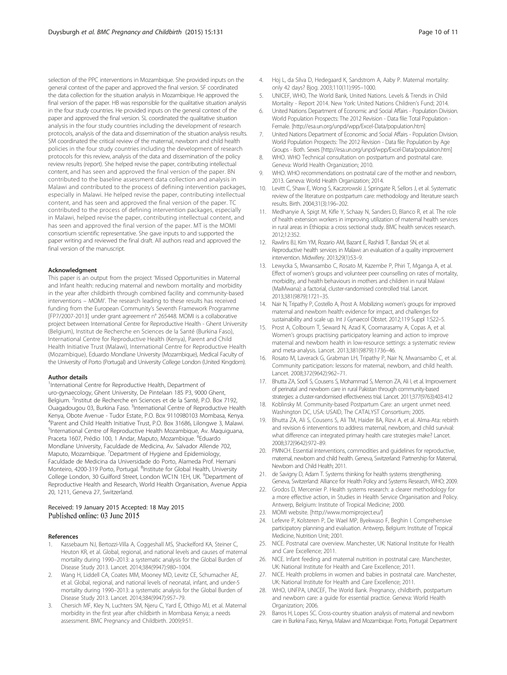<span id="page-9-0"></span>selection of the PPC interventions in Mozambique. She provided inputs on the general context of the paper and approved the final version. SF coordinated the data collection for the situation analysis in Mozambique. He approved the final version of the paper. HB was responsible for the qualitative situation analysis in the four study countries. He provided inputs on the general context of the paper and approved the final version. SL coordinated the qualitative situation analysis in the four study countries including the development of research protocols, analysis of the data and dissemination of the situation analysis results. SM coordinated the critical review of the maternal, newborn and child health policies in the four study countries including the development of research protocols for this review, analysis of the data and dissemination of the policy review results (report). She helped revise the paper, contributing intellectual content, and has seen and approved the final version of the paper. BN contributed to the baseline assessment data collection and analysis in Malawi and contributed to the process of defining intervention packages, especially in Malawi. He helped revise the paper, contributing intellectual content, and has seen and approved the final version of the paper. TC contributed to the process of defining intervention packages, especially in Malawi, helped revise the paper, contributing intellectual content, and has seen and approved the final version of the paper. MT is the MOMI consortium scientific representative. She gave inputs to and supported the paper writing and reviewed the final draft. All authors read and approved the final version of the manuscript.

#### Acknowledgment

This paper is an output from the project 'Missed Opportunities in Maternal and Infant health: reducing maternal and newborn mortality and morbidity in the year after childbirth through combined facility and community-based interventions – MOMI'. The research leading to these results has received funding from the European Community's Seventh Framework Programme [FP7/2007-2013] under grant agreement n° 265448. MOMI is a collaborative project between International Centre for Reproductive Health - Ghent University (Belgium), Institut de Recherche en Sciences de la Santé (Burkina Faso), International Centre for Reproductive Health (Kenya), Parent and Child Health Initiative Trust (Malawi), International Centre for Reproductive Health (Mozambique), Eduardo Mondlane University (Mozambique), Medical Faculty of the University of Porto (Portugal) and University College London (United Kingdom).

#### Author details

<sup>1</sup>International Centre for Reproductive Health, Department of uro-gynaecology, Ghent University, De Pintelaan 185 P3, 9000 Ghent, Belgium. <sup>2</sup>Institut de Recherche en Sciences et de la Santé, P.O. Box 7192, Ouagadougou 03, Burkina Faso. <sup>3</sup>International Centre of Reproductive Health Kenya, Obote Avenue - Tudor Estate, P.O. Box 9110980103 Mombasa, Kenya. 4 Parent and Child Health Initiative Trust, P.O. Box 31686, Lilongwe 3, Malawi. 5 International Centre of Reproductive Health Mozambique, Av. Maquiguana, Praceta 1607, Prédio 100, 1 Andar, Maputo, Mozambique. <sup>6</sup>Eduardo Mondlane University, Faculdade de Medicina, Av. Salvador Allende 702, Maputo, Mozambique. <sup>7</sup>Department of Hygiene and Epidemiology, Faculdade de Medicina da Universidade do Porto, Alameda Prof. Hernani Monteiro, 4200-319 Porto, Portugal. <sup>8</sup>Institute for Global Health, University College London, 30 Guilford Street, London WC1N 1EH, UK. <sup>9</sup>Department of Reproductive Health and Research, World Health Organisation, Avenue Appia 20, 1211, Geneva 27, Switzerland.

#### Received: 19 January 2015 Accepted: 18 May 2015 Published online: 03 June 2015

#### References

- Kassebaum NJ, Bertozzi-Villa A, Coggeshall MS, Shackelford KA, Steiner C, Heuton KR, et al. Global, regional, and national levels and causes of maternal mortality during 1990–2013: a systematic analysis for the Global Burden of Disease Study 2013. Lancet. 2014;384(9947):980–1004.
- 2. Wang H, Liddell CA, Coates MM, Mooney MD, Levitz CE, Schumacher AE, et al. Global, regional, and national levels of neonatal, infant, and under-5 mortality during 1990–2013: a systematic analysis for the Global Burden of Disease Study 2013. Lancet. 2014;384(9947):957–79.
- 3. Chersich MF, Kley N, Luchters SM, Njeru C, Yard E, Othigo MJ, et al. Maternal morbidity in the first year after childbirth in Mombasa Kenya; a needs assessment. BMC Pregnancy and Childbirth. 2009;9:51.
- 4. Hoj L, da Silva D, Hedegaard K, Sandstrom A, Aaby P. Maternal mortality: only 42 days? Bjog. 2003;110(11):995–1000.
- 5. UNICEF, WHO, The World Bank, United Nations. Levels & Trends in Child Mortality - Report 2014. New York: United Nations Children's Fund; 2014.
- 6. United Nations Department of Economic and Social Affairs Population Division. World Population Prospects: The 2012 Revision - Data file: Total Population - Female. [[http://esa.un.org/unpd/wpp/Excel-Data/population.htm\]](http://esa.un.org/unpd/wpp/Excel-Data/population.htm)
- 7. United Nations Department of Economic and Social Affairs Population Division. World Population Prospects: The 2012 Revision - Data file: Population by Age Groups - Both. Sexes [\[http://esa.un.org/unpd/wpp/Excel-Data/population.htm\]](http://esa.un.org/unpd/wpp/Excel-Data/population.htm)
- WHO. WHO Technical consultation on postpartum and postnatal care. Geneva: World Health Organization; 2010.
- 9. WHO. WHO recommendations on postnatal care of the mother and newborn, 2013. Geneva: World Health Organization; 2014.
- 10. Levitt C, Shaw E, Wong S, Kaczorowski J, Springate R, Sellors J, et al. Systematic review of the literature on postpartum care: methodology and literature search results. Birth. 2004;31(3):196–202.
- 11. Medhanyie A, Spigt M, Kifle Y, Schaay N, Sanders D, Blanco R, et al. The role of health extension workers in improving utilization of maternal health services in rural areas in Ethiopia: a cross sectional study. BMC health services research. 2012;12:352.
- 12. Rawlins BJ, Kim YM, Rozario AM, Bazant E, Rashidi T, Bandazi SN, et al. Reproductive health services in Malawi: an evaluation of a quality improvement intervention. Midwifery. 2013;29(1):53–9.
- 13. Lewycka S, Mwansambo C, Rosato M, Kazembe P, Phiri T, Mganga A, et al. Effect of women's groups and volunteer peer counselling on rates of mortality, morbidity, and health behaviours in mothers and children in rural Malawi (MaiMwana): a factorial, cluster-randomised controlled trial. Lancet. 2013;381(9879):1721–35.
- 14. Nair N, Tripathy P, Costello A, Prost A. Mobilizing women's groups for improved maternal and newborn health: evidence for impact, and challenges for sustainability and scale up. Int J Gynaecol Obstet. 2012;119 Suppl 1:S22–5.
- 15. Prost A, Colbourn T, Seward N, Azad K, Coomarasamy A, Copas A, et al. Women's groups practising participatory learning and action to improve maternal and newborn health in low-resource settings: a systematic review and meta-analysis. Lancet. 2013;381(9879):1736–46.
- 16. Rosato M, Laverack G, Grabman LH, Tripathy P, Nair N, Mwansambo C, et al. Community participation: lessons for maternal, newborn, and child health. Lancet. 2008;372(9642):962–71.
- 17. Bhutta ZA, Soofi S, Cousens S, Mohammad S, Memon ZA, Ali I, et al. Improvement of perinatal and newborn care in rural Pakistan through community-based strategies: a cluster-randomised effectiveness trial. Lancet. 2011;377(9763):403-412
- 18. Koblinsky M. Community-based Postpartum Care: an urgent unmet need. Washington DC, USA: USAID, The CATALYST Consortium; 2005.
- 19. Bhutta ZA, Ali S, Cousens S, Ali TM, Haider BA, Rizvi A, et al. Alma-Ata: rebirth and revision 6 interventions to address maternal, newborn, and child survival: what difference can integrated primary health care strategies make? Lancet. 2008;372(9642):972–89.
- 20. PMNCH. Essential interventions, commodities and guidelines for reproductive, maternal, newborn and child health. Geneva, Switzerland: Partnership for Maternal, Newborn and Child Health; 2011.
- 21. de Savigny D, Adam T. Systems thinking for health systems strengthening. Geneva, Switzerland: Alliance for Health Policy and Systems Research, WHO; 2009.
- 22. Grodos D, Mercenier P. Health systems research: a clearer methodology for a more effective action, in Studies in Health Service Organisation and Policy. Antwerp, Belgium: Institute of Tropical Medicine; 2000.
- 23. MOMI website. [\[http://www.momiproject.eu/](http://www.momiproject.eu/)]
- 24. Lefevre P, Kolsteren P, De Wael MP, Byekwaso F, Beghin I. Comprehensive participatory planning and evaluation. Antwerp, Belgium: Institute of Tropical Medicine, Nutrition Unit; 2001.
- 25. NICE. Postnatal care overview. Manchester, UK: National Institute for Health and Care Excellence; 2011.
- 26. NICE. Infant feeding and maternal nutrition in postnatal care. Manchester, UK: National Institute for Health and Care Excellence; 2011.
- 27. NICE. Health problems in women and babies in postnatal care. Manchester, UK: National Institute for Health and Care Excellence; 2011.
- 28. WHO, UNFPA, UNICEF, The World Bank. Pregnancy, childbirth, postpartum and newborn care: a guide for essential practice. Geneva: World Health Organization; 2006.
- 29. Barros H, Lopes SC. Cross-country situation analysis of maternal and newborn care in Burkina Faso, Kenya, Malawi and Mozambique. Porto, Portugal: Department